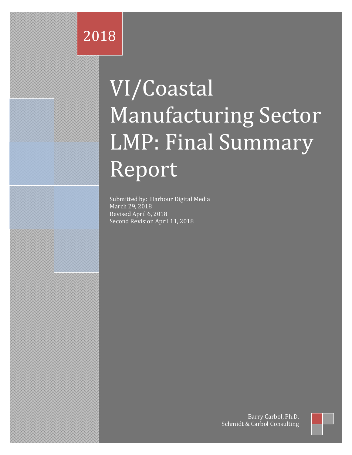# 2018

# VI/Coastal Manufacturing Sector LMP: Final Summary Report

Submitted by: Harbour Digital Media March 29, 2018 Revised April 6, 2018 Second Revision April 11, 2018

> Schmidt & Carbol Consulting Barry Carbol, Ph.D.

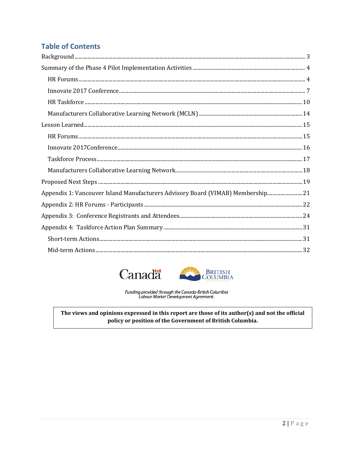# **Table of Contents**

| $\bf Background. 3$                                                                                                                                                                                                                                                                                                   |  |
|-----------------------------------------------------------------------------------------------------------------------------------------------------------------------------------------------------------------------------------------------------------------------------------------------------------------------|--|
|                                                                                                                                                                                                                                                                                                                       |  |
|                                                                                                                                                                                                                                                                                                                       |  |
|                                                                                                                                                                                                                                                                                                                       |  |
|                                                                                                                                                                                                                                                                                                                       |  |
|                                                                                                                                                                                                                                                                                                                       |  |
|                                                                                                                                                                                                                                                                                                                       |  |
|                                                                                                                                                                                                                                                                                                                       |  |
| $\label{thm:1} \mbox{Innovate 2017} \mbox{Conference} \mbox{} \mbox{} \mbox{} \mbox{} \mbox{} \mbox{} \mbox{} \mbox{} \mbox{} \mbox{} \mbox{} \mbox{} \mbox{} \mbox{} \mbox{} \mbox{} \mbox{} \mbox{} \mbox{} \mbox{} \mbox{} \mbox{} \mbox{} \mbox{} \mbox{} \mbox{} \mbox{} \mbox{} \mbox{} \mbox{} \mbox{} \mbox{$ |  |
|                                                                                                                                                                                                                                                                                                                       |  |
|                                                                                                                                                                                                                                                                                                                       |  |
|                                                                                                                                                                                                                                                                                                                       |  |
| Appendix 1: Vancouver Island Manufacturers Advisory Board (VIMAB) Membership 21                                                                                                                                                                                                                                       |  |
|                                                                                                                                                                                                                                                                                                                       |  |
|                                                                                                                                                                                                                                                                                                                       |  |
|                                                                                                                                                                                                                                                                                                                       |  |
|                                                                                                                                                                                                                                                                                                                       |  |
|                                                                                                                                                                                                                                                                                                                       |  |





Funding provided through the Canada-British Columbia<br>Labour Market Development Agreement.

The views and opinions expressed in this report are those of its author(s) and not the official policy or position of the Government of British Columbia.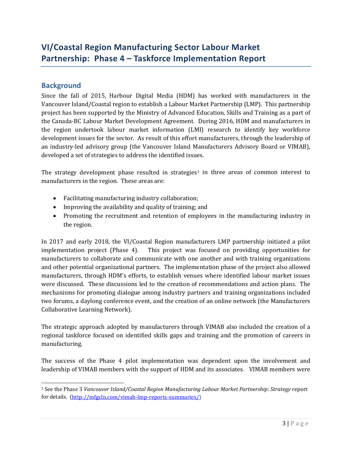# **VI/Coastal Region Manufacturing Sector Labour Market Partnership: Phase 4 – Taskforce Implementation Report**

#### <span id="page-2-0"></span>**Background**

Since the fall of 2015, Harbour Digital Media (HDM) has worked with manufacturers in the Vancouver Island/Coastal region to establish a Labour Market Partnership (LMP). This partnership project has been supported by the Ministry of Advanced Education, Skills and Training as a part of the Canada-BC Labour Market Development Agreement. During 2016, HDM and manufacturers in the region undertook labour market information (LMI) research to identify key workforce development issues for the sector. As result of this effort manufacturers, through the leadership of an industry-led advisory group (the Vancouver Island Manufacturers Advisory Board or VIMAB), developed a set of strategies to address the identified issues.

The strategy development phase resulted in strategies<sup>[1](#page-2-1)</sup> in three areas of common interest to manufacturers in the region. These areas are:

- Facilitating manufacturing industry collaboration;
- Improving the availability and quality of training; and
- Promoting the recruitment and retention of employees in the manufacturing industry in the region.

In 2017 and early 2018, the VI/Coastal Region manufacturers LMP partnership initiated a pilot implementation project (Phase 4). This project was focused on providing opportunities for manufacturers to collaborate and communicate with one another and with training organizations and other potential organizational partners. The implementation phase of the project also allowed manufacturers, through HDM's efforts, to establish venues where identified labour market issues were discussed. These discussions led to the creation of recommendations and action plans. The mechanisms for promoting dialogue among industry partners and training organizations included two forums, a daylong conference event, and the creation of an online network (the Manufacturers Collaborative Learning Network).

The strategic approach adopted by manufacturers through VIMAB also included the creation of a regional taskforce focused on identified skills gaps and training and the promotion of careers in manufacturing.

The success of the Phase 4 pilot implementation was dependent upon the involvement and leadership of VIMAB members with the support of HDM and its associates. VIMAB members were

<span id="page-2-1"></span> <sup>1</sup> See the Phase 3 *Vancouver Island/Coastal Region Manufacturing Labour Market Partnership: Strategy* report for details. [\(http://mfgcln.com/vimab-lmp-reports-summaries/\)](http://mfgcln.com/vimab-lmp-reports-summaries/)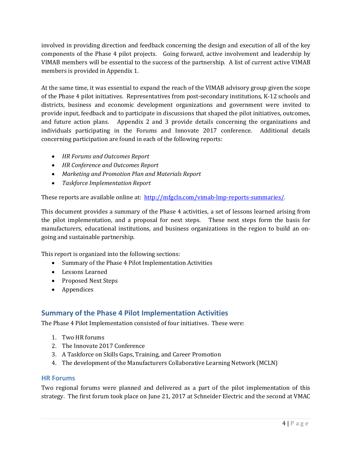involved in providing direction and feedback concerning the design and execution of all of the key components of the Phase 4 pilot projects. Going forward, active involvement and leadership by VIMAB members will be essential to the success of the partnership. A list of current active VIMAB members is provided in Appendix 1.

At the same time, it was essential to expand the reach of the VIMAB advisory group given the scope of the Phase 4 pilot initiatives. Representatives from post-secondary institutions, K-12 schools and districts, business and economic development organizations and government were invited to provide input, feedback and to participate in discussions that shaped the pilot initiatives, outcomes, and future action plans. Appendix 2 and 3 provide details concerning the organizations and individuals participating in the Forums and Innovate 2017 conference. Additional details concerning participation are found in each of the following reports:

- *HR Forums and Outcomes Report*
- *HR Conference and Outcomes Report*
- *Marketing and Promotion Plan and Materials Report*
- *Taskforce Implementation Report*

These reports are available online at: [http://mfgcln.com/vimab-lmp-reports-summaries/.](http://mfgcln.com/vimab-lmp-reports-summaries/)

This document provides a summary of the Phase 4 activities, a set of lessons learned arising from the pilot implementation, and a proposal for next steps. These next steps form the basis for manufacturers, educational institutions, and business organizations in the region to build an ongoing and sustainable partnership.

This report is organized into the following sections:

- Summary of the Phase 4 Pilot Implementation Activities
- Lessons Learned
- Proposed Next Steps
- Appendices

#### <span id="page-3-0"></span>**Summary of the Phase 4 Pilot Implementation Activities**

The Phase 4 Pilot Implementation consisted of four initiatives. These were:

- 1. Two HR forums
- 2. The Innovate 2017 Conference
- 3. A Taskforce on Skills Gaps, Training, and Career Promotion
- 4. The development of the Manufacturers Collaborative Learning Network (MCLN)

#### <span id="page-3-1"></span>**HR Forums**

Two regional forums were planned and delivered as a part of the pilot implementation of this strategy. The first forum took place on June 21, 2017 at Schneider Electric and the second at VMAC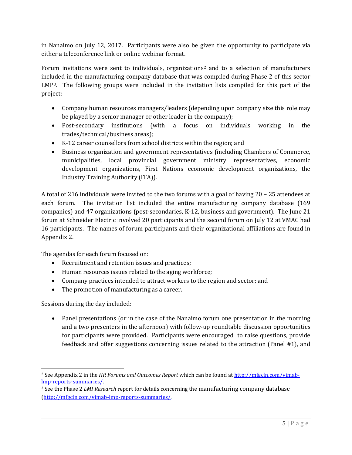in Nanaimo on July 12, 2017. Participants were also be given the opportunity to participate via either a teleconference link or online webinar format.

Forum invitations were sent to individuals, organizations<sup>[2](#page-4-0)</sup> and to a selection of manufacturers included in the manufacturing company database that was compiled during Phase 2 of this sector LMP[3](#page-4-1) . The following groups were included in the invitation lists compiled for this part of the project:

- Company human resources managers/leaders (depending upon company size this role may be played by a senior manager or other leader in the company);
- Post-secondary institutions (with a focus on individuals working in the trades/technical/business areas);
- K-12 career counsellors from school districts within the region; and
- Business organization and government representatives (including Chambers of Commerce, municipalities, local provincial government ministry representatives, economic development organizations, First Nations economic development organizations, the Industry Training Authority (ITA)).

A total of 216 individuals were invited to the two forums with a goal of having 20 – 25 attendees at each forum. The invitation list included the entire manufacturing company database (169 companies) and 47 organizations (post-secondaries, K-12, business and government). The June 21 forum at Schneider Electric involved 20 participants and the second forum on July 12 at VMAC had 16 participants. The names of forum participants and their organizational affiliations are found in Appendix 2.

The agendas for each forum focused on:

- Recruitment and retention issues and practices;
- Human resources issues related to the aging workforce;
- Company practices intended to attract workers to the region and sector; and
- The promotion of manufacturing as a career.

Sessions during the day included:

• Panel presentations (or in the case of the Nanaimo forum one presentation in the morning and a two presenters in the afternoon) with follow-up roundtable discussion opportunities for participants were provided. Participants were encouraged to raise questions, provide feedback and offer suggestions concerning issues related to the attraction (Panel #1), and

<span id="page-4-0"></span> <sup>2</sup> See Appendix 2 in the *HR Forums and Outcomes Report* which can be found at [http://mfgcln.com/vimab](http://mfgcln.com/vimab-lmp-reports-summaries/)[lmp-reports-summaries/.](http://mfgcln.com/vimab-lmp-reports-summaries/)

<span id="page-4-1"></span><sup>3</sup> See the Phase 2 *LMI Research* report for details concerning the manufacturing company database [\(http://mfgcln.com/vimab-lmp-reports-summaries/.](http://mfgcln.com/vimab-lmp-reports-summaries/)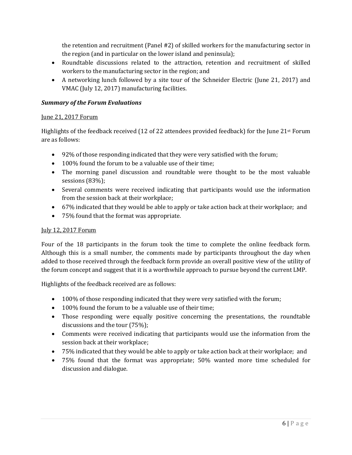the retention and recruitment (Panel #2) of skilled workers for the manufacturing sector in the region (and in particular on the lower island and peninsula);

- Roundtable discussions related to the attraction, retention and recruitment of skilled workers to the manufacturing sector in the region; and
- A networking lunch followed by a site tour of the Schneider Electric (June 21, 2017) and VMAC (July 12, 2017) manufacturing facilities.

#### *Summary of the Forum Evaluations*

#### June 21, 2017 Forum

Highlights of the feedback received (12 of 22 attendees provided feedback) for the June 21st Forum are as follows:

- 92% of those responding indicated that they were very satisfied with the forum;
- 100% found the forum to be a valuable use of their time;
- The morning panel discussion and roundtable were thought to be the most valuable sessions (83%);
- Several comments were received indicating that participants would use the information from the session back at their workplace;
- 67% indicated that they would be able to apply or take action back at their workplace; and
- 75% found that the format was appropriate.

#### July 12, 2017 Forum

Four of the 18 participants in the forum took the time to complete the online feedback form. Although this is a small number, the comments made by participants throughout the day when added to those received through the feedback form provide an overall positive view of the utility of the forum concept and suggest that it is a worthwhile approach to pursue beyond the current LMP.

Highlights of the feedback received are as follows:

- 100% of those responding indicated that they were very satisfied with the forum;
- 100% found the forum to be a valuable use of their time;
- Those responding were equally positive concerning the presentations, the roundtable discussions and the tour (75%);
- Comments were received indicating that participants would use the information from the session back at their workplace;
- 75% indicated that they would be able to apply or take action back at their workplace; and
- 75% found that the format was appropriate; 50% wanted more time scheduled for discussion and dialogue.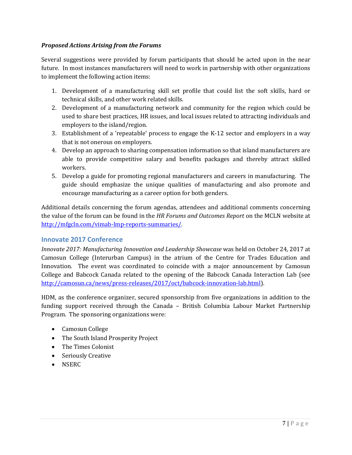#### *Proposed Actions Arising from the Forums*

Several suggestions were provided by forum participants that should be acted upon in the near future. In most instances manufacturers will need to work in partnership with other organizations to implement the following action items:

- 1. Development of a manufacturing skill set profile that could list the soft skills, hard or technical skills, and other work related skills.
- 2. Development of a manufacturing network and community for the region which could be used to share best practices, HR issues, and local issues related to attracting individuals and employers to the island/region.
- 3. Establishment of a 'repeatable' process to engage the K-12 sector and employers in a way that is not onerous on employers.
- 4. Develop an approach to sharing compensation information so that island manufacturers are able to provide competitive salary and benefits packages and thereby attract skilled workers.
- 5. Develop a guide for promoting regional manufacturers and careers in manufacturing. The guide should emphasize the unique qualities of manufacturing and also promote and encourage manufacturing as a career option for both genders.

Additional details concerning the forum agendas, attendees and additional comments concerning the value of the forum can be found in the *HR Forums and Outcomes Report* on the MCLN website at [http://mfgcln.com/vimab-lmp-reports-summaries/.](http://mfgcln.com/vimab-lmp-reports-summaries/)

#### <span id="page-6-0"></span>**Innovate 2017 Conference**

*Innovate 2017: Manufacturing Innovation and Leadership Showcase* was held on October 24, 2017 at Camosun College (Interurban Campus) in the atrium of the Centre for Trades Education and Innovation. The event was coordinated to coincide with a major announcement by Camosun College and Babcock Canada related to the opening of the Babcock Canada Interaction Lab (see [http://camosun.ca/news/press-releases/2017/oct/babcock-innovation-lab.html\)](http://camosun.ca/news/press-releases/2017/oct/babcock-innovation-lab.html).

HDM, as the conference organizer, secured sponsorship from five organizations in addition to the funding support received through the Canada – British Columbia Labour Market Partnership Program. The sponsoring organizations were:

- Camosun College
- The South Island Prosperity Project
- The Times Colonist
- Seriously Creative
- NSERC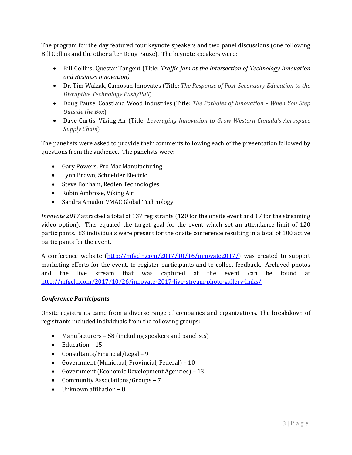The program for the day featured four keynote speakers and two panel discussions (one following Bill Collins and the other after Doug Pauze). The keynote speakers were:

- Bill Collins, Questar Tangent (Title: *Traffic Jam at the Intersection of Technology Innovation and Business Innovation)*
- Dr. Tim Walzak, Camosun Innovates (Title: *The Response of Post-Secondary Education to the Disruptive Technology Push/Pull*)
- Doug Pauze, Coastland Wood Industries (Title: *The Potholes of Innovation – When You Step Outside the Box*)
- Dave Curtis, Viking Air (Title: *Leveraging Innovation to Grow Western Canada's Aerospace Supply Chain*)

The panelists were asked to provide their comments following each of the presentation followed by questions from the audience. The panelists were:

- Gary Powers, Pro Mac Manufacturing
- Lynn Brown, Schneider Electric
- Steve Bonham, Redlen Technologies
- Robin Ambrose, Viking Air
- Sandra Amador VMAC Global Technology

*Innovate 2017* attracted a total of 137 registrants (120 for the onsite event and 17 for the streaming video option). This equaled the target goal for the event which set an attendance limit of 120 participants. 83 individuals were present for the onsite conference resulting in a total of 100 active participants for the event.

A conference website [\(http://mfgcln.com/2017/10/16/innovate2017/\)](http://mfgcln.com/2017/10/16/innovate2017/) was created to support marketing efforts for the event, to register participants and to collect feedback. Archived photos and the live stream that was captured at the event can be found at [http://mfgcln.com/2017/10/26/innovate-2017-live-stream-photo-gallery-links/.](http://mfgcln.com/2017/10/26/innovate-2017-live-stream-photo-gallery-links/)

#### *Conference Participants*

Onsite registrants came from a diverse range of companies and organizations. The breakdown of registrants included individuals from the following groups:

- Manufacturers 58 (including speakers and panelists)
- Education 15
- Consultants/Financial/Legal 9
- Government (Municipal, Provincial, Federal) 10
- Government (Economic Development Agencies) 13
- Community Associations/Groups 7
- Unknown affiliation 8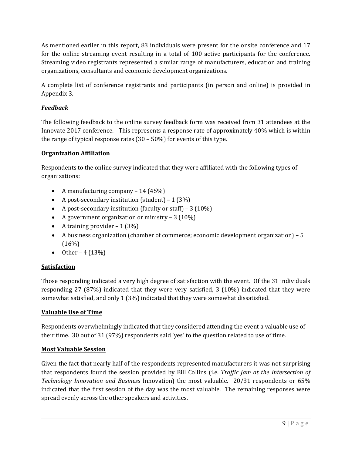As mentioned earlier in this report, 83 individuals were present for the onsite conference and 17 for the online streaming event resulting in a total of 100 active participants for the conference. Streaming video registrants represented a similar range of manufacturers, education and training organizations, consultants and economic development organizations.

A complete list of conference registrants and participants (in person and online) is provided in Appendix 3.

#### *Feedback*

The following feedback to the online survey feedback form was received from 31 attendees at the Innovate 2017 conference. This represents a response rate of approximately 40% which is within the range of typical response rates (30 – 50%) for events of this type.

#### **Organization Affiliation**

Respondents to the online survey indicated that they were affiliated with the following types of organizations:

- A manufacturing company 14 (45%)
- A post-secondary institution (student)  $1(3\%)$
- A post-secondary institution (faculty or staff) 3 (10%)
- A government organization or ministry 3 (10%)
- A training provider  $-1$  (3%)
- A business organization (chamber of commerce; economic development organization) 5  $(16%)$
- Other  $4(13%)$

#### **Satisfaction**

Those responding indicated a very high degree of satisfaction with the event. Of the 31 individuals responding 27 (87%) indicated that they were very satisfied, 3 (10%) indicated that they were somewhat satisfied, and only 1 (3%) indicated that they were somewhat dissatisfied.

#### **Valuable Use of Time**

Respondents overwhelmingly indicated that they considered attending the event a valuable use of their time. 30 out of 31 (97%) respondents said 'yes' to the question related to use of time.

#### **Most Valuable Session**

Given the fact that nearly half of the respondents represented manufacturers it was not surprising that respondents found the session provided by Bill Collins (i.e. *Traffic Jam at the Intersection of Technology Innovation and Business* Innovation) the most valuable. 20/31 respondents or 65% indicated that the first session of the day was the most valuable. The remaining responses were spread evenly across the other speakers and activities.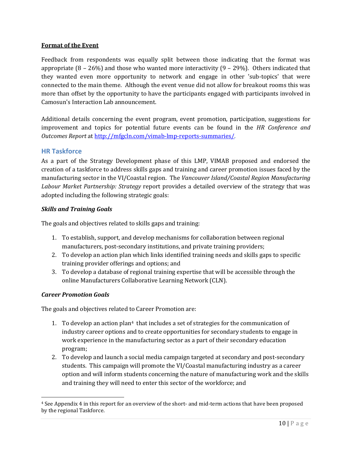#### **Format of the Event**

Feedback from respondents was equally split between those indicating that the format was appropriate  $(8 - 26%)$  and those who wanted more interactivity  $(9 - 29%)$ . Others indicated that they wanted even more opportunity to network and engage in other 'sub-topics' that were connected to the main theme. Although the event venue did not allow for breakout rooms this was more than offset by the opportunity to have the participants engaged with participants involved in Camosun's Interaction Lab announcement.

Additional details concerning the event program, event promotion, participation, suggestions for improvement and topics for potential future events can be found in the *HR Conference and Outcomes Report* a[t http://mfgcln.com/vimab-lmp-reports-summaries/.](http://mfgcln.com/vimab-lmp-reports-summaries/)

#### <span id="page-9-0"></span>**HR Taskforce**

As a part of the Strategy Development phase of this LMP, VIMAB proposed and endorsed the creation of a taskforce to address skills gaps and training and career promotion issues faced by the manufacturing sector in the VI/Coastal region. The *Vancouver Island/Coastal Region Manufacturing Labour Market Partnership: Strategy* report provides a detailed overview of the strategy that was adopted including the following strategic goals:

#### *Skills and Training Goals*

The goals and objectives related to skills gaps and training:

- 1. To establish, support, and develop mechanisms for collaboration between regional manufacturers, post-secondary institutions, and private training providers;
- 2. To develop an action plan which links identified training needs and skills gaps to specific training provider offerings and options; and
- 3. To develop a database of regional training expertise that will be accessible through the online Manufacturers Collaborative Learning Network (CLN).

#### *Career Promotion Goals*

The goals and objectives related to Career Promotion are:

- 1. To develop an action plan<sup>[4](#page-9-1)</sup> that includes a set of strategies for the communication of industry career options and to create opportunities for secondary students to engage in work experience in the manufacturing sector as a part of their secondary education program;
- 2. To develop and launch a social media campaign targeted at secondary and post-secondary students. This campaign will promote the VI/Coastal manufacturing industry as a career option and will inform students concerning the nature of manufacturing work and the skills and training they will need to enter this sector of the workforce; and

<span id="page-9-1"></span> <sup>4</sup> See Appendix 4 in this report for an overview of the short- and mid-term actions that have been proposed by the regional Taskforce.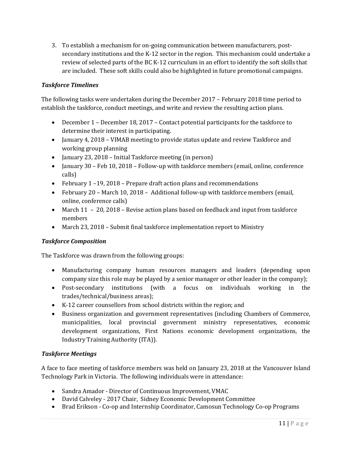3. To establish a mechanism for on-going communication between manufacturers, postsecondary institutions and the K-12 sector in the region. This mechanism could undertake a review of selected parts of the BC K-12 curriculum in an effort to identify the soft skills that are included. These soft skills could also be highlighted in future promotional campaigns.

#### *Taskforce Timelines*

The following tasks were undertaken during the December 2017 – February 2018 time period to establish the taskforce, conduct meetings, and write and review the resulting action plans.

- December 1 December 18, 2017 Contact potential participants for the taskforce to determine their interest in participating.
- January 4, 2018 VIMAB meeting to provide status update and review Taskforce and working group planning
- January 23, 2018 Initial Taskforce meeting (in person)
- January 30 Feb 10, 2018 Follow-up with taskforce members (email, online, conference calls)
- February 1 19, 2018 Prepare draft action plans and recommendations
- February 20 March 10, 2018 Additional follow-up with taskforce members (email, online, conference calls)
- March 11 20, 2018 Revise action plans based on feedback and input from taskforce members
- March 23, 2018 Submit final taskforce implementation report to Ministry

#### *Taskforce Composition*

The Taskforce was drawn from the following groups:

- Manufacturing company human resources managers and leaders (depending upon company size this role may be played by a senior manager or other leader in the company);
- Post-secondary institutions (with a focus on individuals working in the trades/technical/business areas);
- K-12 career counsellors from school districts within the region; and
- Business organization and government representatives (including Chambers of Commerce, municipalities, local provincial government ministry representatives, economic development organizations, First Nations economic development organizations, the Industry Training Authority (ITA)).

#### *Taskforce Meetings*

A face to face meeting of taskforce members was held on January 23, 2018 at the Vancouver Island Technology Park in Victoria. The following individuals were in attendance:

- Sandra Amador Director of Continuous Improvement, VMAC
- David Calveley 2017 Chair, Sidney Economic Development Committee
- Brad Erikson Co-op and Internship Coordinator, Camosun Technology Co-op Programs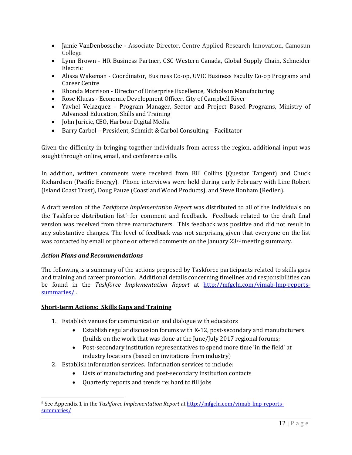- Jamie VanDenbossche Associate Director, Centre Applied Research Innovation, Camosun College
- Lynn Brown HR Business Partner, GSC Western Canada, Global Supply Chain, Schneider Electric
- Alissa Wakeman Coordinator, Business Co-op, UVIC Business Faculty Co-op Programs and Career Centre
- Rhonda Morrison Director of Enterprise Excellence, Nicholson Manufacturing
- Rose Klucas Economic Development Officer, City of Campbell River
- Yavhel Velazquez Program Manager, Sector and Project Based Programs, Ministry of Advanced Education, Skills and Training
- John Juricic, CEO, Harbour Digital Media
- Barry Carbol President, Schmidt & Carbol Consulting Facilitator

Given the difficulty in bringing together individuals from across the region, additional input was sought through online, email, and conference calls.

In addition, written comments were received from Bill Collins (Questar Tangent) and Chuck Richardson (Pacific Energy). Phone interviews were held during early February with Line Robert (Island Coast Trust), Doug Pauze (Coastland Wood Products), and Steve Bonham (Redlen).

A draft version of the *Taskforce Implementation Report* was distributed to all of the individuals on the Taskforce distribution list<sup>[5](#page-11-0)</sup> for comment and feedback. Feedback related to the draft final version was received from three manufacturers. This feedback was positive and did not result in any substantive changes. The level of feedback was not surprising given that everyone on the list was contacted by email or phone or offered comments on the January 23<sup>rd</sup> meeting summary.

#### *Action Plans and Recommendations*

The following is a summary of the actions proposed by Taskforce participants related to skills gaps and training and career promotion. Additional details concerning timelines and responsibilities can be found in the *Taskforce Implementation Report* at [http://mfgcln.com/vimab-lmp-reports](http://mfgcln.com/vimab-lmp-reports-summaries/)[summaries/](http://mfgcln.com/vimab-lmp-reports-summaries/) .

#### **Short-term Actions: Skills Gaps and Training**

- 1. Establish venues for communication and dialogue with educators
	- Establish regular discussion forums with K-12, post-secondary and manufacturers (builds on the work that was done at the June/July 2017 regional forums;
	- Post-secondary institution representatives to spend more time 'in the field' at industry locations (based on invitations from industry)
- 2. Establish information services. Information services to include:
	- Lists of manufacturing and post-secondary institution contacts
	- Quarterly reports and trends re: hard to fill jobs

<span id="page-11-0"></span> <sup>5</sup> See Appendix 1 in the *Taskforce Implementation Report* a[t http://mfgcln.com/vimab-lmp-reports](http://mfgcln.com/vimab-lmp-reports-summaries/)[summaries/](http://mfgcln.com/vimab-lmp-reports-summaries/)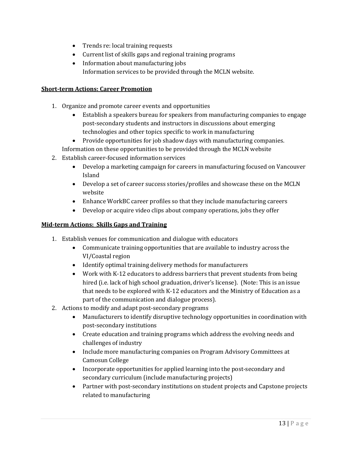- Trends re: local training requests
- Current list of skills gaps and regional training programs
- Information about manufacturing jobs Information services to be provided through the MCLN website.

#### **Short-term Actions: Career Promotion**

- 1. Organize and promote career events and opportunities
	- Establish a speakers bureau for speakers from manufacturing companies to engage post-secondary students and instructors in discussions about emerging technologies and other topics specific to work in manufacturing
	- Provide opportunities for job shadow days with manufacturing companies.
	- Information on these opportunities to be provided through the MCLN website
- 2. Establish career-focused information services
	- Develop a marketing campaign for careers in manufacturing focused on Vancouver Island
	- Develop a set of career success stories/profiles and showcase these on the MCLN website
	- Enhance WorkBC career profiles so that they include manufacturing careers
	- Develop or acquire video clips about company operations, jobs they offer

#### **Mid-term Actions: Skills Gaps and Training**

- 1. Establish venues for communication and dialogue with educators
	- Communicate training opportunities that are available to industry across the VI/Coastal region
	- Identify optimal training delivery methods for manufacturers
	- Work with K-12 educators to address barriers that prevent students from being hired (i.e. lack of high school graduation, driver's license). (Note: This is an issue that needs to be explored with K-12 educators and the Ministry of Education as a part of the communication and dialogue process).
- 2. Actions to modify and adapt post-secondary programs
	- Manufacturers to identify disruptive technology opportunities in coordination with post-secondary institutions
	- Create education and training programs which address the evolving needs and challenges of industry
	- Include more manufacturing companies on Program Advisory Committees at Camosun College
	- Incorporate opportunities for applied learning into the post-secondary and secondary curriculum (include manufacturing projects)
	- Partner with post-secondary institutions on student projects and Capstone projects related to manufacturing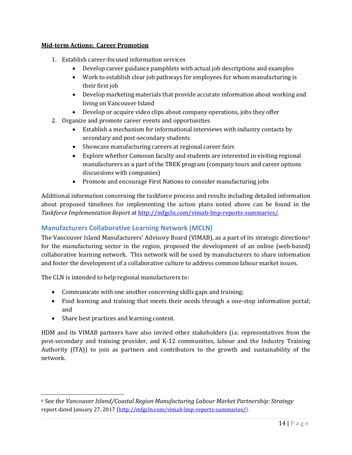#### **Mid-term Actions: Career Promotion**

- 1. Establish career-focused information services
	- Develop career guidance pamphlets with actual job descriptions and examples
	- Work to establish clear job pathways for employees for whom manufacturing is their first job
	- Develop marketing materials that provide accurate information about working and living on Vancouver Island
	- Develop or acquire video clips about company operations, jobs they offer
- 2. Organize and promote career events and opportunities
	- Establish a mechanism for informational interviews with industry contacts by secondary and post-secondary students
	- Showcase manufacturing careers at regional career fairs
	- Explore whether Camosun faculty and students are interested in visiting regional manufacturers as a part of the TREK program (company tours and career options discussions with companies)
	- Promote and encourage First Nations to consider manufacturing jobs

Additional information concerning the taskforce process and results including detailed information about proposed timelines for implementing the action plans noted above can be found in the *Taskforce Implementation Report* a[t http://mfgcln.com/vimab-lmp-reports-summaries/.](http://mfgcln.com/vimab-lmp-reports-summaries/)

#### <span id="page-13-0"></span>**Manufacturers Collaborative Learning Network (MCLN)**

The Vancouver Island Manufacturers' Advisory Board (VIMAB), as a part of its strategic directions<sup>[6](#page-13-1)</sup> for the manufacturing sector in the region, proposed the development of an online (web-based) collaborative learning network. This network will be used by manufacturers to share information and foster the development of a collaborative culture to address common labour market issues.

The CLN is intended to help regional manufacturers to:

- Communicate with one another concerning skills gaps and training;
- Find learning and training that meets their needs through a one-stop information portal; and
- Share best practices and learning content.

HDM and its VIMAB partners have also invited other stakeholders (i.e. representatives from the post-secondary and training provider, and K-12 communities, labour and the Industry Training Authority (ITA)) to join as partners and contributors to the growth and sustainability of the network.

<span id="page-13-1"></span> <sup>6</sup> See the *Vancouver Island/Coastal Region Manufacturing Labour Market Partnership: Strategy*  report dated January 27, 2017 [\(http://mfgcln.com/vimab-lmp-reports-summaries/\)](http://mfgcln.com/vimab-lmp-reports-summaries/).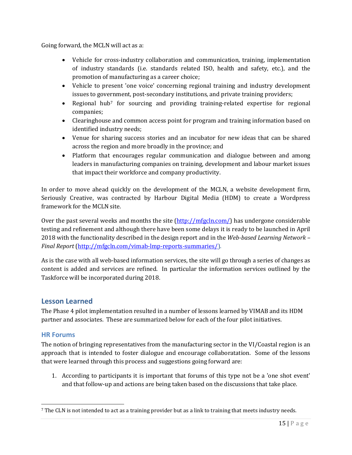Going forward, the MCLN will act as a:

- Vehicle for cross-industry collaboration and communication, training, implementation of industry standards (i.e. standards related ISO, health and safety, etc.), and the promotion of manufacturing as a career choice;
- Vehicle to present 'one voice' concerning regional training and industry development issues to government, post-secondary institutions, and private training providers;
- Regional hub[7](#page-14-2) for sourcing and providing training-related expertise for regional companies;
- Clearinghouse and common access point for program and training information based on identified industry needs;
- Venue for sharing success stories and an incubator for new ideas that can be shared across the region and more broadly in the province; and
- Platform that encourages regular communication and dialogue between and among leaders in manufacturing companies on training, development and labour market issues that impact their workforce and company productivity.

In order to move ahead quickly on the development of the MCLN, a website development firm, Seriously Creative, was contracted by Harbour Digital Media (HDM) to create a Wordpress framework for the MCLN site.

Over the past several weeks and months the site [\(http://mfgcln.com/\)](http://mfgcln.com/) has undergone considerable testing and refinement and although there have been some delays it is ready to be launched in April 2018 with the functionality described in the design report and in the *Web-based Learning Network – Final Report* [\(http://mfgcln.com/vimab-lmp-reports-summaries/\)](http://mfgcln.com/vimab-lmp-reports-summaries/).

As is the case with all web-based information services, the site will go through a series of changes as content is added and services are refined. In particular the information services outlined by the Taskforce will be incorporated during 2018.

#### <span id="page-14-0"></span>**Lesson Learned**

The Phase 4 pilot implementation resulted in a number of lessons learned by VIMAB and its HDM partner and associates. These are summarized below for each of the four pilot initiatives.

#### <span id="page-14-1"></span>**HR Forums**

The notion of bringing representatives from the manufacturing sector in the VI/Coastal region is an approach that is intended to foster dialogue and encourage collaboratation. Some of the lessons that were learned through this process and suggestions going forward are:

1. According to participants it is important that forums of this type not be a 'one shot event' and that follow-up and actions are being taken based on the discussions that take place.

<span id="page-14-2"></span> <sup>7</sup> The CLN is not intended to act as a training provider but as a link to training that meets industry needs.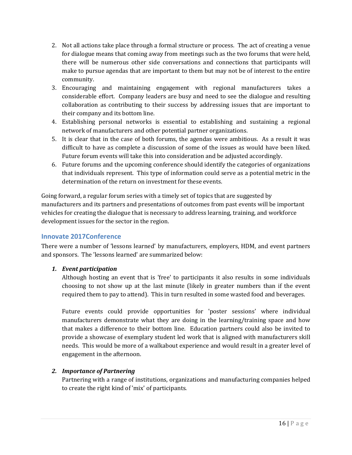- 2. Not all actions take place through a formal structure or process. The act of creating a venue for dialogue means that coming away from meetings such as the two forums that were held, there will be numerous other side conversations and connections that participants will make to pursue agendas that are important to them but may not be of interest to the entire community.
- 3. Encouraging and maintaining engagement with regional manufacturers takes a considerable effort. Company leaders are busy and need to see the dialogue and resulting collaboration as contributing to their success by addressing issues that are important to their company and its bottom line.
- 4. Establishing personal networks is essential to establishing and sustaining a regional network of manufacturers and other potential partner organizations.
- 5. It is clear that in the case of both forums, the agendas were ambitious. As a result it was difficult to have as complete a discussion of some of the issues as would have been liked. Future forum events will take this into consideration and be adjusted accordingly.
- 6. Future forums and the upcoming conference should identify the categories of organizations that individuals represent. This type of information could serve as a potential metric in the determination of the return on investment for these events.

Going forward, a regular forum series with a timely set of topics that are suggested by manufacturers and its partners and presentations of outcomes from past events will be important vehicles for creating the dialogue that is necessary to address learning, training, and workforce development issues for the sector in the region.

#### <span id="page-15-0"></span>**Innovate 2017Conference**

There were a number of 'lessons learned' by manufacturers, employers, HDM, and event partners and sponsors. The 'lessons learned' are summarized below:

#### *1. Event participation*

Although hosting an event that is 'free' to participants it also results in some individuals choosing to not show up at the last minute (likely in greater numbers than if the event required them to pay to attend). This in turn resulted in some wasted food and beverages.

Future events could provide opportunities for 'poster sessions' where individual manufacturers demonstrate what they are doing in the learning/training space and how that makes a difference to their bottom line. Education partners could also be invited to provide a showcase of exemplary student led work that is aligned with manufacturers skill needs. This would be more of a walkabout experience and would result in a greater level of engagement in the afternoon.

#### *2. Importance of Partnering*

Partnering with a range of institutions, organizations and manufacturing companies helped to create the right kind of 'mix' of participants.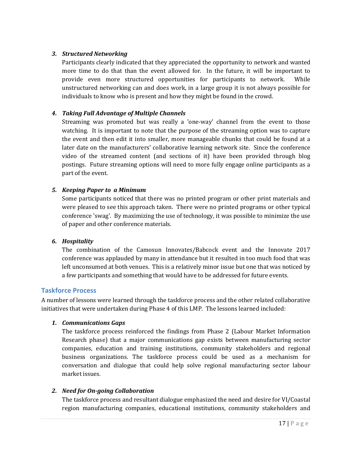#### *3. Structured Networking*

Participants clearly indicated that they appreciated the opportunity to network and wanted more time to do that than the event allowed for. In the future, it will be important to provide even more structured opportunities for participants to network. While unstructured networking can and does work, in a large group it is not always possible for individuals to know who is present and how they might be found in the crowd.

#### *4. Taking Full Advantage of Multiple Channels*

Streaming was promoted but was really a 'one-way' channel from the event to those watching. It is important to note that the purpose of the streaming option was to capture the event and then edit it into smaller, more manageable chunks that could be found at a later date on the manufacturers' collaborative learning network site. Since the conference video of the streamed content (and sections of it) have been provided through blog postings. Future streaming options will need to more fully engage online participants as a part of the event.

#### *5. Keeping Paper to a Minimum*

Some participants noticed that there was no printed program or other print materials and were pleased to see this approach taken. There were no printed programs or other typical conference 'swag'. By maximizing the use of technology, it was possible to minimize the use of paper and other conference materials.

#### *6. Hospitality*

The combination of the Camosun Innovates/Babcock event and the Innovate 2017 conference was applauded by many in attendance but it resulted in too much food that was left unconsumed at both venues. This is a relatively minor issue but one that was noticed by a few participants and something that would have to be addressed for future events.

#### <span id="page-16-0"></span>**Taskforce Process**

A number of lessons were learned through the taskforce process and the other related collaborative initiatives that were undertaken during Phase 4 of this LMP. The lessons learned included:

#### *1. Communications Gaps*

The taskforce process reinforced the findings from Phase 2 (Labour Market Information Research phase) that a major communications gap exists between manufacturing sector companies, education and training institutions, community stakeholders and regional business organizations. The taskforce process could be used as a mechanism for conversation and dialogue that could help solve regional manufacturing sector labour market issues.

#### *2. Need for On-going Collaboration*

The taskforce process and resultant dialogue emphasized the need and desire for VI/Coastal region manufacturing companies, educational institutions, community stakeholders and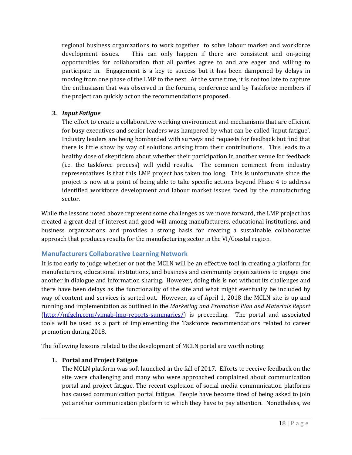regional business organizations to work together to solve labour market and workforce development issues. This can only happen if there are consistent and on-going opportunities for collaboration that all parties agree to and are eager and willing to participate in. Engagement is a key to success but it has been dampened by delays in moving from one phase of the LMP to the next. At the same time, it is not too late to capture the enthusiasm that was observed in the forums, conference and by Taskforce members if the project can quickly act on the recommendations proposed.

#### *3. Input Fatigue*

The effort to create a collaborative working environment and mechanisms that are efficient for busy executives and senior leaders was hampered by what can be called 'input fatigue'. Industry leaders are being bombarded with surveys and requests for feedback but find that there is little show by way of solutions arising from their contributions. This leads to a healthy dose of skepticism about whether their participation in another venue for feedback (i.e. the taskforce process) will yield results. The common comment from industry representatives is that this LMP project has taken too long. This is unfortunate since the project is now at a point of being able to take specific actions beyond Phase 4 to address identified workforce development and labour market issues faced by the manufacturing sector.

While the lessons noted above represent some challenges as we move forward, the LMP project has created a great deal of interest and good will among manufacturers, educational institutions, and business organizations and provides a strong basis for creating a sustainable collaborative approach that produces results for the manufacturing sector in the VI/Coastal region.

#### <span id="page-17-0"></span>**Manufacturers Collaborative Learning Network**

It is too early to judge whether or not the MCLN will be an effective tool in creating a platform for manufacturers, educational institutions, and business and community organizations to engage one another in dialogue and information sharing. However, doing this is not without its challenges and there have been delays as the functionality of the site and what might eventually be included by way of content and services is sorted out. However, as of April 1, 2018 the MCLN site is up and running and implementation as outlined in the *Marketing and Promotion Plan and Materials Report* [\(http://mfgcln.com/vimab-lmp-reports-summaries/\)](http://mfgcln.com/vimab-lmp-reports-summaries/) is proceeding. The portal and associated tools will be used as a part of implementing the Taskforce recommendations related to career promotion during 2018.

The following lessons related to the development of MCLN portal are worth noting:

#### **1. Portal and Project Fatigue**

The MCLN platform was soft launched in the fall of 2017. Efforts to receive feedback on the site were challenging and many who were approached complained about communication portal and project fatigue. The recent explosion of social media communication platforms has caused communication portal fatigue. People have become tired of being asked to join yet another communication platform to which they have to pay attention. Nonetheless, we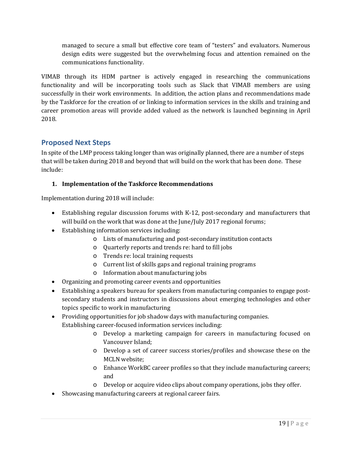managed to secure a small but effective core team of "testers" and evaluators. Numerous design edits were suggested but the overwhelming focus and attention remained on the communications functionality.

VIMAB through its HDM partner is actively engaged in researching the communications functionality and will be incorporating tools such as Slack that VIMAB members are using successfully in their work environments. In addition, the action plans and recommendations made by the Taskforce for the creation of or linking to information services in the skills and training and career promotion areas will provide added valued as the network is launched beginning in April 2018.

#### <span id="page-18-0"></span>**Proposed Next Steps**

In spite of the LMP process taking longer than was originally planned, there are a number of steps that will be taken during 2018 and beyond that will build on the work that has been done. These include:

#### **1. Implementation of the Taskforce Recommendations**

Implementation during 2018 will include:

- Establishing regular discussion forums with K-12, post-secondary and manufacturers that will build on the work that was done at the June/July 2017 regional forums;
- Establishing information services including:
	- o Lists of manufacturing and post-secondary institution contacts
	- o Quarterly reports and trends re: hard to fill jobs
	- o Trends re: local training requests
	- o Current list of skills gaps and regional training programs
	- o Information about manufacturing jobs
- Organizing and promoting career events and opportunities
- Establishing a speakers bureau for speakers from manufacturing companies to engage postsecondary students and instructors in discussions about emerging technologies and other topics specific to work in manufacturing
- Providing opportunities for job shadow days with manufacturing companies. Establishing career-focused information services including:
	- o Develop a marketing campaign for careers in manufacturing focused on Vancouver Island;
	- o Develop a set of career success stories/profiles and showcase these on the MCLN website;
	- o Enhance WorkBC career profiles so that they include manufacturing careers; and
	- o Develop or acquire video clips about company operations, jobs they offer.
- Showcasing manufacturing careers at regional career fairs.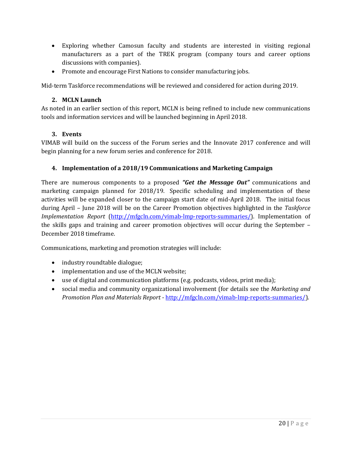- Exploring whether Camosun faculty and students are interested in visiting regional manufacturers as a part of the TREK program (company tours and career options discussions with companies).
- Promote and encourage First Nations to consider manufacturing jobs.

Mid-term Taskforce recommendations will be reviewed and considered for action during 2019.

#### **2. MCLN Launch**

As noted in an earlier section of this report, MCLN is being refined to include new communications tools and information services and will be launched beginning in April 2018.

#### **3. Events**

VIMAB will build on the success of the Forum series and the Innovate 2017 conference and will begin planning for a new forum series and conference for 2018.

#### **4. Implementation of a 2018/19 Communications and Marketing Campaign**

There are numerous components to a proposed *"Get the Message Out"* communications and marketing campaign planned for 2018/19. Specific scheduling and implementation of these activities will be expanded closer to the campaign start date of mid-April 2018. The initial focus during April – June 2018 will be on the Career Promotion objectives highlighted in the *Taskforce Implementation Report* [\(http://mfgcln.com/vimab-lmp-reports-summaries/\)](http://mfgcln.com/vimab-lmp-reports-summaries/). Implementation of the skills gaps and training and career promotion objectives will occur during the September – December 2018 timeframe.

Communications, marketing and promotion strategies will include:

- industry roundtable dialogue;
- implementation and use of the MCLN website;
- use of digital and communication platforms (e.g. podcasts, videos, print media);
- social media and community organizational involvement (for details see the *Marketing and Promotion Plan and Materials Report* - [http://mfgcln.com/vimab-lmp-reports-summaries/\)](http://mfgcln.com/vimab-lmp-reports-summaries/).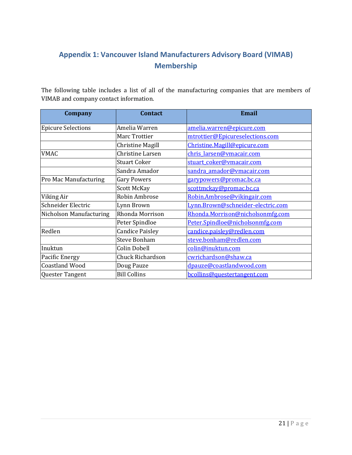# <span id="page-20-0"></span>**Appendix 1: Vancouver Island Manufacturers Advisory Board (VIMAB) Membership**

The following table includes a list of all of the manufacturing companies that are members of VIMAB and company contact information.

| <b>Company</b>            | <b>Contact</b>         | <b>Email</b>                      |
|---------------------------|------------------------|-----------------------------------|
| <b>Epicure Selections</b> | Amelia Warren          | amelia.warren@epicure.com         |
|                           | Marc Trottier          | mtrottier@Epicureselections.com   |
|                           | Christine Magill       | Christine.Magill@epicure.com      |
| <b>VMAC</b>               | Christine Larsen       | chris larsen@vmacair.com          |
|                           | <b>Stuart Coker</b>    | stuart coker@vmacair.com          |
|                           | Sandra Amador          | sandra amador@vmacair.com         |
| Pro Mac Manufacturing     | <b>Gary Powers</b>     | garypowers@promac.bc.ca           |
|                           | Scott McKay            | <u>scottmckay@promac.bc.ca</u>    |
| Viking Air                | Robin Ambrose          | Robin.Ambrose@vikingair.com       |
| Schneider Electric        | Lynn Brown             | Lynn.Brown@schneider-electric.com |
| Nicholson Manufacturing   | Rhonda Morrison        | Rhonda.Morrison@nicholsonmfg.com  |
|                           | Peter Spindloe         | Peter.Spindloe@nicholsonmfg.com   |
| Redlen                    | <b>Candice Paisley</b> | candice.paisley@redlen.com        |
|                           | <b>Steve Bonham</b>    | steve.bonham@redlen.com           |
| Inuktun                   | Colin Dobell           | colin@inuktun.com                 |
| Pacific Energy            | Chuck Richardson       | cwrichardson@shaw.ca              |
| <b>Coastland Wood</b>     | Doug Pauze             | dpauze@coastlandwood.com          |
| Quester Tangent           | <b>Bill Collins</b>    | bcollins@questertangent.com       |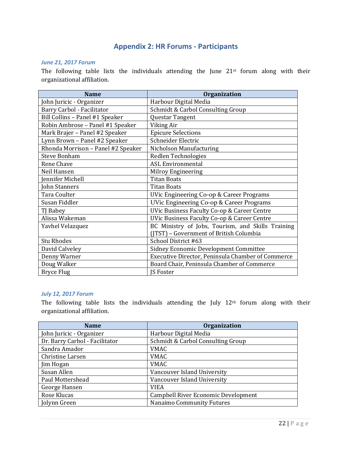#### **Appendix 2: HR Forums - Participants**

#### <span id="page-21-0"></span>*June 21, 2017 Forum*

The following table lists the individuals attending the June 21<sup>st</sup> forum along with their organizational affiliation.

| <b>Name</b>                        | <b>Organization</b>                                    |
|------------------------------------|--------------------------------------------------------|
| John Juricic - Organizer           | Harbour Digital Media                                  |
| Barry Carbol - Facilitator         | Schmidt & Carbol Consulting Group                      |
| Bill Collins - Panel #1 Speaker    | Questar Tangent                                        |
| Robin Ambrose - Panel #1 Speaker   | Viking Air                                             |
| Mark Brajer - Panel #2 Speaker     | <b>Epicure Selections</b>                              |
| Lynn Brown - Panel #2 Speaker      | Schneider Electric                                     |
| Rhonda Morrison - Panel #2 Speaker | Nicholson Manufacturing                                |
| <b>Steve Bonham</b>                | Redlen Technologies                                    |
| Rene Chave                         | <b>ASL Environmental</b>                               |
| Neil Hansen                        | Milroy Engineering                                     |
| Jennifer Michell                   | <b>Titan Boats</b>                                     |
| John Stanners                      | <b>Titan Boats</b>                                     |
| Tara Coulter                       | <b>UVic Engineering Co-op &amp; Career Programs</b>    |
| Susan Fiddler                      | UVic Engineering Co-op & Career Programs               |
| TJ Babey                           | <b>UVic Business Faculty Co-op &amp; Career Centre</b> |
| Alissa Wakeman                     | UVic Business Faculty Co-op & Career Centre            |
| Yavhel Velazquez                   | BC Ministry of Jobs, Tourism, and Skills Training      |
|                                    | (JTST) - Government of British Columbia                |
| <b>Stu Rhodes</b>                  | School District #63                                    |
| David Calveley                     | Sidney Economic Development Committee                  |
| Denny Warner                       | Executive Director, Peninsula Chamber of Commerce      |
| Doug Walker                        | Board Chair, Peninsula Chamber of Commerce             |
| <b>Bryce Flug</b>                  | <b>IS Foster</b>                                       |

#### *July 12, 2017 Forum*

The following table lists the individuals attending the July 12th forum along with their organizational affiliation.

| <b>Name</b>                    | Organization                        |
|--------------------------------|-------------------------------------|
| John Juricic - Organizer       | Harbour Digital Media               |
| Dr. Barry Carbol - Facilitator | Schmidt & Carbol Consulting Group   |
| Sandra Amador                  | <b>VMAC</b>                         |
| Christine Larsen               | <b>VMAC</b>                         |
| Jim Hogan                      | <b>VMAC</b>                         |
| Susan Allen                    | Vancouver Island University         |
| Paul Mottershead               | Vancouver Island University         |
| George Hansen                  | <b>VIEA</b>                         |
| Rose Klucas                    | Campbell River Economic Development |
| Jolynn Green                   | Nanaimo Community Futures           |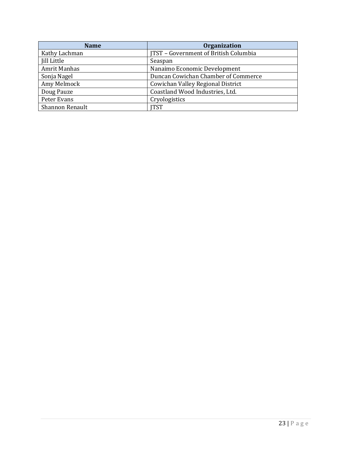| <b>Name</b>         | Organization                          |
|---------------------|---------------------------------------|
| Kathy Lachman       | JTST - Government of British Columbia |
| <b>Jill Little</b>  | Seaspan                               |
| <b>Amrit Manhas</b> | Nanaimo Economic Development          |
| Sonja Nagel         | Duncan Cowichan Chamber of Commerce   |
| Amy Melmock         | Cowichan Valley Regional District     |
| Doug Pauze          | Coastland Wood Industries, Ltd.       |
| Peter Evans         | Cryologistics                         |
| Shannon Renault     | ITST                                  |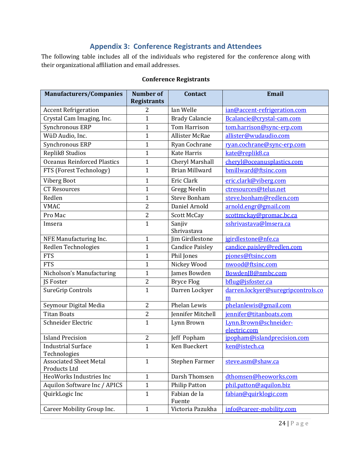## **Appendix 3: Conference Registrants and Attendees**

<span id="page-23-0"></span>The following table includes all of the individuals who registered for the conference along with their organizational affiliation and email addresses.

| <b>Manufacturers/Companies</b>                | <b>Number of</b><br><b>Registrants</b> | <b>Contact</b>         | Email                                   |
|-----------------------------------------------|----------------------------------------|------------------------|-----------------------------------------|
| <b>Accent Refrigeration</b>                   | 2                                      | Ian Welle              | ian@accent-refrigeration.com            |
| Crystal Cam Imaging, Inc.                     | $\mathbf{1}$                           | <b>Brady Calancie</b>  | Bcalancie@crystal-cam.com               |
| Synchronous ERP                               | $\mathbf{1}$                           | <b>Tom Harrison</b>    | tom.harrison@sync-erp.com               |
| WüD Audio, Inc.                               | $\mathbf{1}$                           | <b>Allister McRae</b>  | allister@wudaudio.com                   |
| Synchronous ERP                               | $\mathbf{1}$                           | Ryan Cochrane          | ryan.cochrane@sync-erp.com              |
| Replik <sub>8</sub> Studios                   | $\mathbf{1}$                           | <b>Kate Harris</b>     | kate@replik8.ca                         |
| <b>Oceanus Reinforced Plastics</b>            | $\mathbf{1}$                           | Cheryl Marshall        | cheryl@oceanusplastics.com              |
| FTS (Forest Technology)                       | $\mathbf{1}$                           | <b>Brian Millward</b>  | bmillward@ftsinc.com                    |
| Viberg Boot                                   | $\mathbf{1}$                           | Eric Clark             | eric.clark@viberg.com                   |
| <b>CT Resources</b>                           | $\overline{1}$                         | <b>Gregg Neelin</b>    | ctresources@telus.net                   |
| Redlen                                        | $\mathbf{1}$                           | <b>Steve Bonham</b>    | steve.bonham@redlen.com                 |
| <b>VMAC</b>                                   | $\overline{2}$                         | Daniel Arnold          | arnold.engr@gmail.com                   |
| Pro Mac                                       | 2                                      | <b>Scott McCay</b>     | scottmckay@promac.bc.ca                 |
| Imsera                                        | $\mathbf{1}$                           | Sanjiv<br>Shrivastava  | sshrivastava@lmsera.ca                  |
| NFE Manufacturing Inc.                        | 1                                      | Jim Girdlestone        | jgirdlestone@nfe.ca                     |
| Redlen Technologies                           | $\overline{1}$                         | <b>Candice Paisley</b> | candice.paisley@redlen.com              |
| <b>FTS</b>                                    | $\mathbf{1}$                           | Phil Jones             | pjones@ftsinc.com                       |
| <b>FTS</b>                                    | $\mathbf{1}$                           | Nickey Wood            | nwood@ftsinc.com                        |
| Nicholson's Manufacturing                     | $\mathbf{1}$                           | James Bowden           | BowdenJB@nmbc.com                       |
| JS Foster                                     | $\overline{2}$                         | <b>Bryce Flog</b>      | bflug@jsfoster.ca                       |
| <b>SureGrip Controls</b>                      | $\mathbf{1}$                           | Darren Lockyer         | darren.lockyer@suregripcontrols.co<br>m |
| Seymour Digital Media                         | 2                                      | Phelan Lewis           | phelanlewis@gmail.com                   |
| <b>Titan Boats</b>                            | $\overline{\mathbf{c}}$                | Jennifer Mitchell      | jennifer@titanboats.com                 |
| Schneider Electric                            | $\overline{1}$                         | Lynn Brown             | Lynn.Brown@schneider-                   |
|                                               |                                        |                        | electric.com                            |
| <b>Island Precision</b>                       | 2                                      | Jeff Popham            | jpopham@islandprecision.com             |
| <b>Industrial Surface</b><br>Technologies     | $\mathbf{1}$                           | Ken Bueckert           | ken@istech.ca                           |
| <b>Associated Sheet Metal</b><br>Products Ltd | $\mathbf{1}$                           | Stephen Farmer         | steve.asm@shaw.ca                       |
| HeoWorks Industries Inc                       | $\mathbf{1}$                           | Darsh Thomsen          | dthomsen@heoworks.com                   |
| Aquilon Software Inc / APICS                  | $\mathbf{1}$                           | <b>Philip Patton</b>   | phil.patton@aquilon.biz                 |
| QuirkLogic Inc                                | $\mathbf{1}$                           | Fabian de la<br>Fuente | fabian@quirklogic.com                   |
| Career Mobility Group Inc.                    | $\mathbf{1}$                           | Victoria Pazukha       | info@career-mobility.com                |

#### **Conference Registrants**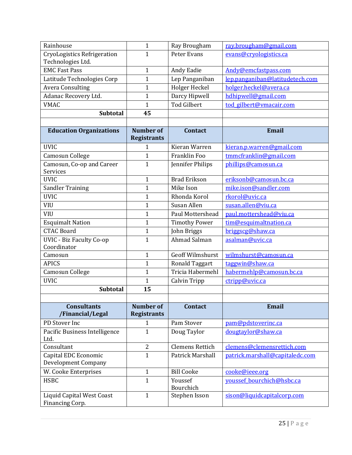| Rainhouse                                           | $\mathbf{1}$                           | Ray Brougham            | ray.brougham@gmail.com          |
|-----------------------------------------------------|----------------------------------------|-------------------------|---------------------------------|
| <b>CryoLogistics Refrigeration</b>                  | $\mathbf{1}$                           | Peter Evans             | evans@cryologistics.ca          |
| Technologies Ltd.<br><b>EMC Fast Pass</b>           |                                        |                         |                                 |
|                                                     | $\mathbf{1}$                           | Andy Eadie              | Andy@emcfastpass.com            |
| Latitude Technologies Corp                          | $\mathbf{1}$                           | Lep Panganiban          | lep.panganiban@latitudetech.com |
| <b>Avera Consulting</b>                             | $\mathbf{1}$                           | Holger Heckel           | holger.heckel@avera.ca          |
| Adanac Recovery Ltd.                                | $\mathbf{1}$                           | Darcy Hipwell           | hdhipwell@gmail.com             |
| <b>VMAC</b>                                         | $\mathbf{1}$                           | <b>Tod Gilbert</b>      | tod gilbert@vmacair.com         |
| <b>Subtotal</b>                                     | 45                                     |                         |                                 |
|                                                     |                                        |                         |                                 |
| <b>Education Organizations</b>                      | <b>Number of</b><br><b>Registrants</b> | <b>Contact</b>          | <b>Email</b>                    |
| <b>UVIC</b>                                         | 1                                      | Kieran Warren           | kieran.p.warren@gmail.com       |
| Camosun College                                     | $\mathbf{1}$                           | Franklin Foo            | tmmcfranklin@gmail.com          |
| Camosun, Co-op and Career<br>Services               | $\mathbf{1}$                           | Jennifer Philips        | phillips@camosun.ca             |
| <b>UVIC</b>                                         | $\mathbf{1}$                           | <b>Brad Erikson</b>     | eriksonb@camosun.bc.ca          |
| <b>Sandler Training</b>                             | $\mathbf{1}$                           | Mike Ison               | mike.ison@sandler.com           |
| <b>UVIC</b>                                         | $\mathbf 1$                            | Rhonda Korol            | rkorol@uvic.ca                  |
| <b>VIU</b>                                          | $\mathbf 1$                            | Susan Allen             | susan.allen@viu.ca              |
| <b>VIU</b>                                          | $\mathbf{1}$                           | Paul Mottershead        | paul.mottershead@viu.ca         |
| <b>Esquimalt Nation</b>                             | $\mathbf{1}$                           | <b>Timothy Power</b>    | tim@esquimaltnation.ca          |
| <b>CTAC Board</b>                                   | $\mathbf{1}$                           | John Briggs             | briggscg@shaw.ca                |
| <b>UVIC - Biz Faculty Co-op</b>                     | $\mathbf{1}$                           | Ahmad Salman            | asalman@uvic.ca                 |
| Coordinator                                         |                                        |                         |                                 |
| Camosun                                             | $\mathbf{1}$                           | <b>Geoff Wilmshurst</b> | wilmshurst@camosun.ca           |
| <b>APICS</b>                                        | $\mathbf 1$                            | <b>Ronald Taggart</b>   | taggwin@shaw.ca                 |
| Camosun College                                     | $\mathbf{1}$                           | Tricia Habermehl        | habermehlp@camosun.bc.ca        |
| <b>UVIC</b>                                         | $\mathbf 1$                            | <b>Calvin Tripp</b>     | ctripp@uvic.ca                  |
| <b>Subtotal</b>                                     | 15                                     |                         |                                 |
|                                                     |                                        |                         |                                 |
| <b>Consultants</b><br>/Financial/Legal              | <b>Number of</b><br><b>Registrants</b> | <b>Contact</b>          | <b>Email</b>                    |
| PD Stover Inc                                       | 1                                      | Pam Stover              | pam@pdstoverinc.ca              |
| Pacific Business Intelligence<br>Ltd.               | 1                                      | Doug Taylor             | dougtaylor@shaw.ca              |
| Consultant                                          | $\overline{2}$                         | <b>Clemens Rettich</b>  | clemens@clemensrettich.com      |
| Capital EDC Economic                                | $\mathbf{1}$                           | <b>Patrick Marshall</b> | patrick.marshall@capitaledc.com |
| <b>Development Company</b>                          |                                        |                         |                                 |
| W. Cooke Enterprises                                | $\mathbf{1}$                           | <b>Bill Cooke</b>       | cooke@ieee.org                  |
| <b>HSBC</b>                                         | $\mathbf{1}$                           | Youssef<br>Bourchich    | youssef_bourchich@hsbc.ca       |
| <b>Liquid Capital West Coast</b><br>Financing Corp. | $\mathbf{1}$                           | Stephen Isson           | sison@liquidcapitalcorp.com     |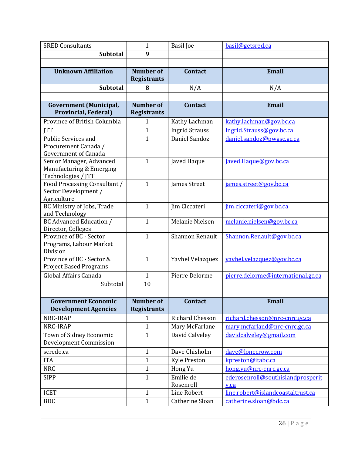| <b>SRED Consultants</b>                                                           | $\mathbf{1}$                           | <b>Basil</b> Joe       | basil@getsred.ca                          |
|-----------------------------------------------------------------------------------|----------------------------------------|------------------------|-------------------------------------------|
| <b>Subtotal</b>                                                                   | 9                                      |                        |                                           |
|                                                                                   |                                        |                        |                                           |
| <b>Unknown Affiliation</b>                                                        | <b>Number of</b><br><b>Registrants</b> | <b>Contact</b>         | <b>Email</b>                              |
| <b>Subtotal</b>                                                                   | 8                                      | N/A                    | N/A                                       |
|                                                                                   |                                        |                        |                                           |
| <b>Government</b> (Municipal,<br><b>Provincial, Federal)</b>                      | <b>Number of</b><br><b>Registrants</b> | <b>Contact</b>         | Email                                     |
| Province of British Columbia                                                      | 1                                      | Kathy Lachman          | kathy.lachman@gov.bc.ca                   |
| <b>JTT</b>                                                                        | $\mathbf{1}$                           | <b>Ingrid Strauss</b>  | Ingrid.Strauss@gov.bc.ca                  |
| <b>Public Services and</b><br>Procurement Canada /<br><b>Government of Canada</b> | $\mathbf{1}$                           | Daniel Sandoz          | daniel.sandoz@pwgsc.gc.ca                 |
| Senior Manager, Advanced<br>Manufacturing & Emerging<br>Technologies / JTT        | $\mathbf{1}$                           | Javed Haque            | Javed.Haque@gov.bc.ca                     |
| Food Processing Consultant /<br>Sector Development /<br>Agriculture               | $\mathbf{1}$                           | James Street           | james.street@gov.bc.ca                    |
| BC Ministry of Jobs, Trade<br>and Technology                                      | $\mathbf{1}$                           | Jim Ciccateri          | jim.ciccateri@gov.bc.ca                   |
| <b>BC Advanced Education /</b><br>Director, Colleges                              | $\mathbf{1}$                           | Melanie Nielsen        | melanie.nielsen@gov.bc.ca                 |
| Province of BC - Sector<br>Programs, Labour Market<br>Division                    | $\mathbf{1}$                           | Shannon Renault        | Shannon.Renault@gov.bc.ca                 |
| Province of BC - Sector &<br><b>Project Based Programs</b>                        | $\mathbf{1}$                           | Yavhel Velazquez       | yavhel.velazquez@gov.bc.ca                |
| Global Affairs Canada                                                             | $\mathbf{1}$                           | Pierre Delorme         | pierre.delorme@international.gc.ca        |
| Subtotal                                                                          | 10                                     |                        |                                           |
|                                                                                   |                                        |                        |                                           |
| <b>Government Economic</b><br><b>Development Agencies</b>                         | <b>Number of</b><br><b>Registrants</b> | Contact                | <b>Email</b>                              |
| NRC-IRAP                                                                          | 1                                      | Richard Chesson        | richard.chesson@nrc-cnrc.gc.ca            |
| NRC-IRAP                                                                          | $\mathbf{1}$                           | Mary McFarlane         | mary.mcfarland@nrc-cnrc.gc.ca             |
| Town of Sidney Economic<br><b>Development Commission</b>                          | $\mathbf{1}$                           | David Calveley         | davidcalveley@gmail.com                   |
| scredo.ca                                                                         | $\mathbf{1}$                           | Dave Chisholm          | dave@lonecrow.com                         |
| <b>ITA</b>                                                                        | $\mathbf{1}$                           | <b>Kyle Preston</b>    | kpreston@itabc.ca                         |
| <b>NRC</b>                                                                        | $\mathbf{1}$                           | Hong Yu                | hong.yu@nrc-cnrc.gc.ca                    |
| <b>SIPP</b>                                                                       | $\mathbf{1}$                           | Emilie de<br>Rosenroll | ederosenroll@southislandprosperit<br>y.ca |
| <b>ICET</b>                                                                       | $\mathbf{1}$                           | Line Robert            | line.robert@islandcoastaltrust.ca         |
| <b>BDC</b>                                                                        | $\mathbf{1}$                           | Catherine Sloan        | catherine.sloan@bdc.ca                    |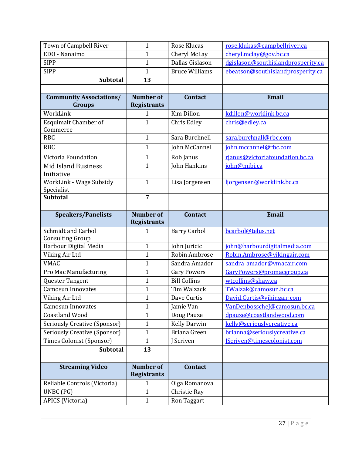| Town of Campbell River              | $\mathbf{1}$                           | Rose Klucas           | rose.klukas@campbellriver.ca       |
|-------------------------------------|----------------------------------------|-----------------------|------------------------------------|
| EDO - Nanaimo                       | $\mathbf{1}$                           | Cheryl McLay          | cheryl.mclay@gov.bc.ca             |
| <b>SIPP</b>                         | $\mathbf{1}$                           | Dallas Gislason       | dgislason@southislandprosperity.ca |
| <b>SIPP</b>                         | $\mathbf{1}$                           | <b>Bruce Williams</b> | ebeatson@southislandprosperity.ca  |
| Subtotal                            | 13                                     |                       |                                    |
|                                     |                                        |                       |                                    |
| <b>Community Associations/</b>      | <b>Number of</b>                       | <b>Contact</b>        | <b>Email</b>                       |
| Groups                              | <b>Registrants</b>                     |                       |                                    |
| WorkLink                            | $\mathbf{1}$                           | <b>Kim Dillon</b>     | kdillon@worklink.bc.ca             |
| <b>Esquimalt Chamber of</b>         | $\mathbf{1}$                           | Chris Edley           | chris@edley.ca                     |
| Commerce<br><b>RBC</b>              | $\mathbf{1}$                           | Sara Burchnell        | sara.burchnall@rbc.com             |
|                                     |                                        |                       |                                    |
| <b>RBC</b>                          | $\mathbf{1}$                           | John McCannel         | john.mccannel@rbc.com              |
| Victoria Foundation                 | $\mathbf{1}$                           | Rob Janus             | rjanus@victoriafoundation.bc.ca    |
| <b>Mid Island Business</b>          | $\mathbf{1}$                           | John Hankins          | john@mibi.ca                       |
| Initiative                          |                                        |                       |                                    |
| WorkLink - Wage Subsidy             | $\mathbf{1}$                           | Lisa Jorgensen        | ljorgensen@worklink.bc.ca          |
| Specialist<br><b>Subtotal</b>       | $\overline{7}$                         |                       |                                    |
|                                     |                                        |                       |                                    |
| <b>Speakers/Panelists</b>           | <b>Number of</b>                       | <b>Contact</b>        | <b>Email</b>                       |
|                                     | <b>Registrants</b>                     |                       |                                    |
|                                     |                                        |                       |                                    |
| <b>Schmidt and Carbol</b>           | 1                                      | <b>Barry Carbol</b>   | bcarbol@telus.net                  |
| <b>Consulting Group</b>             |                                        |                       |                                    |
| Harbour Digital Media               | $\mathbf{1}$                           | John Juricic          | john@harbourdigitalmedia.com       |
| Viking Air Ltd                      | $\mathbf{1}$                           | Robin Ambrose         | Robin.Ambrose@vikingair.com        |
| <b>VMAC</b>                         | $\mathbf{1}$                           | Sandra Amador         | sandra amador@vmacair.com          |
| Pro Mac Manufacturing               | $\mathbf{1}$                           | <b>Gary Powers</b>    | GaryPowers@promacgroup.ca          |
| Quester Tangent                     | $\mathbf{1}$                           | <b>Bill Collins</b>   | wtcollins@shaw.ca                  |
| <b>Camosun Innovates</b>            | $\mathbf{1}$                           | Tim Walzack           | TWalzak@camosun.bc.ca              |
| Viking Air Ltd                      | $\mathbf{1}$                           | Dave Curtis           | David.Curtis@vikingair.com         |
| <b>Camosun Innovates</b>            | $\mathbf{1}$                           | Jamie Van             | VanDenbosscheJ@camosun.bc.ca       |
| <b>Coastland Wood</b>               | $\mathbf{1}$                           | Doug Pauze            | dpauze@coastlandwood.com           |
| <b>Seriously Creative (Sponsor)</b> | $\mathbf{1}$                           | <b>Kelly Darwin</b>   | kelly@seriouslycreative.ca         |
| Seriously Creative (Sponsor)        | 1                                      | Briana Green          | brianna@seriouslycreative.ca       |
| <b>Times Colonist (Sponsor)</b>     | $\mathbf{1}$                           | J Scriven             | [Scriven@timescolonist.com         |
| Subtotal                            | 13                                     |                       |                                    |
|                                     |                                        |                       |                                    |
| <b>Streaming Video</b>              | <b>Number of</b><br><b>Registrants</b> | <b>Contact</b>        |                                    |
| Reliable Controls (Victoria)        | 1                                      | Olga Romanova         |                                    |
| UNBC (PG)                           | $\mathbf{1}$                           | Christie Ray          |                                    |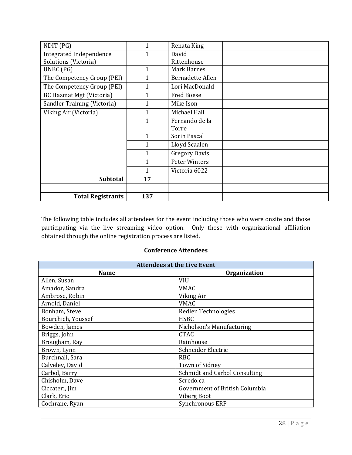| NDIT (PG)                       | 1            | Renata King             |  |
|---------------------------------|--------------|-------------------------|--|
| Integrated Independence         | 1            | David                   |  |
| Solutions (Victoria)            |              | Rittenhouse             |  |
| UNBC (PG)                       | $\mathbf{1}$ | Mark Barnes             |  |
| The Competency Group (PEI)      | 1            | <b>Bernadette Allen</b> |  |
| The Competency Group (PEI)      | 1            | Lori MacDonald          |  |
| <b>BC Hazmat Mgt (Victoria)</b> | 1            | <b>Fred Boese</b>       |  |
| Sandler Training (Victoria)     | $\mathbf{1}$ | Mike Ison               |  |
| Viking Air (Victoria)           | 1            | Michael Hall            |  |
|                                 | $\mathbf{1}$ | Fernando de la          |  |
|                                 |              | Torre                   |  |
|                                 | $\mathbf{1}$ | Sorin Pascal            |  |
|                                 | 1            | Lloyd Scaalen           |  |
|                                 | 1            | <b>Gregory Davis</b>    |  |
|                                 | $\mathbf{1}$ | Peter Winters           |  |
|                                 | 1            | Victoria 6022           |  |
| <b>Subtotal</b>                 | 17           |                         |  |
|                                 |              |                         |  |
| <b>Total Registrants</b>        | 137          |                         |  |

The following table includes all attendees for the event including those who were onsite and those participating via the live streaming video option. Only those with organizational affiliation obtained through the online registration process are listed.

#### **Conference Attendees**

| <b>Attendees at the Live Event</b> |                                |  |
|------------------------------------|--------------------------------|--|
| <b>Name</b>                        | <b>Organization</b>            |  |
| Allen, Susan                       | <b>VIU</b>                     |  |
| Amador, Sandra                     | <b>VMAC</b>                    |  |
| Ambrose, Robin                     | Viking Air                     |  |
| Arnold, Daniel                     | <b>VMAC</b>                    |  |
| Bonham, Steve                      | Redlen Technologies            |  |
| Bourchich, Youssef                 | <b>HSBC</b>                    |  |
| Bowden, James                      | Nicholson's Manufacturing      |  |
| Briggs, John                       | <b>CTAC</b>                    |  |
| Brougham, Ray                      | Rainhouse                      |  |
| Brown, Lynn                        | Schneider Electric             |  |
| Burchnall, Sara                    | <b>RBC</b>                     |  |
| Calveley, David                    | <b>Town of Sidney</b>          |  |
| Carbol, Barry                      | Schmidt and Carbol Consulting  |  |
| Chisholm, Dave                     | Scredo.ca                      |  |
| Ciccateri, Jim                     | Government of British Columbia |  |
| Clark, Eric                        | Viberg Boot                    |  |
| Cochrane, Ryan                     | Synchronous ERP                |  |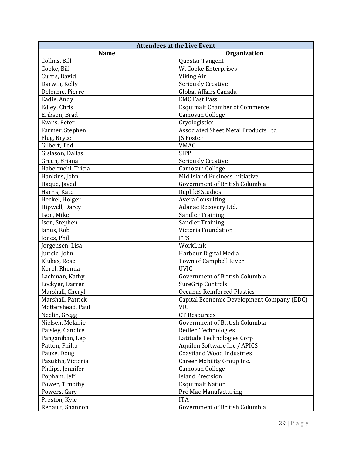| <b>Attendees at the Live Event</b> |                                            |  |
|------------------------------------|--------------------------------------------|--|
| <b>Name</b>                        | Organization                               |  |
| Collins, Bill                      | Questar Tangent                            |  |
| Cooke, Bill                        | W. Cooke Enterprises                       |  |
| Curtis, David                      | Viking Air                                 |  |
| Darwin, Kelly                      | <b>Seriously Creative</b>                  |  |
| Delorme, Pierre                    | Global Affairs Canada                      |  |
| Eadie, Andy                        | <b>EMC Fast Pass</b>                       |  |
| Edley, Chris                       | <b>Esquimalt Chamber of Commerce</b>       |  |
| Erikson, Brad                      | <b>Camosun College</b>                     |  |
| Evans, Peter                       | Cryologistics                              |  |
| Farmer, Stephen                    | <b>Associated Sheet Metal Products Ltd</b> |  |
| Flug, Bryce                        | <b>IS Foster</b>                           |  |
| Gilbert, Tod                       | <b>VMAC</b>                                |  |
| Gislason, Dallas                   | <b>SIPP</b>                                |  |
| Green, Briana                      | <b>Seriously Creative</b>                  |  |
| Habermehl, Tricia                  | <b>Camosun College</b>                     |  |
| Hankins, John                      | Mid Island Business Initiative             |  |
| Haque, Javed                       | Government of British Columbia             |  |
| Harris, Kate                       | Replik8 Studios                            |  |
| Heckel, Holger                     | <b>Avera Consulting</b>                    |  |
| Hipwell, Darcy                     | Adanac Recovery Ltd.                       |  |
| Ison, Mike                         | <b>Sandler Training</b>                    |  |
| Ison, Stephen                      | <b>Sandler Training</b>                    |  |
| Janus, Rob                         | Victoria Foundation                        |  |
| Jones, Phil                        | <b>FTS</b>                                 |  |
| Jorgensen, Lisa                    | WorkLink                                   |  |
| Juricic, John                      | Harbour Digital Media                      |  |
| Klukas, Rose                       | Town of Campbell River                     |  |
| Korol, Rhonda                      | <b>UVIC</b>                                |  |
| Lachman, Kathy                     | Government of British Columbia             |  |
| Lockyer, Darren                    | SureGrip Controls                          |  |
| Marshall, Cheryl                   | <b>Oceanus Reinforced Plastics</b>         |  |
| Marshall, Patrick                  | Capital Economic Development Company (EDC) |  |
| Mottershead, Paul                  | <b>VIU</b>                                 |  |
| Neelin, Gregg                      | <b>CT Resources</b>                        |  |
| Nielsen, Melanie                   | Government of British Columbia             |  |
| Paisley, Candice                   | Redlen Technologies                        |  |
| Panganiban, Lep                    | Latitude Technologies Corp                 |  |
| Patton, Philip                     | Aquilon Software Inc / APICS               |  |
| Pauze, Doug                        | <b>Coastland Wood Industries</b>           |  |
| Pazukha, Victoria                  | Career Mobility Group Inc.                 |  |
| Philips, Jennifer                  | Camosun College                            |  |
| Popham, Jeff                       | <b>Island Precision</b>                    |  |
| Power, Timothy                     | <b>Esquimalt Nation</b>                    |  |
| Powers, Gary                       | Pro Mac Manufacturing                      |  |
| Preston, Kyle                      | <b>ITA</b>                                 |  |
| Renault, Shannon                   | Government of British Columbia             |  |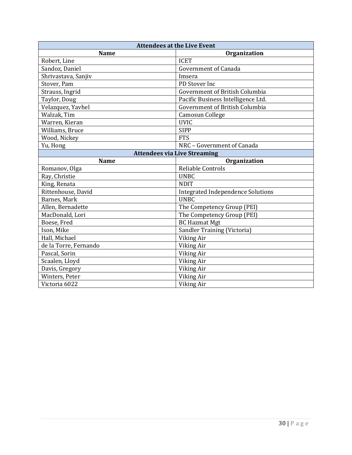| <b>Attendees at the Live Event</b>  |                                          |  |  |
|-------------------------------------|------------------------------------------|--|--|
| <b>Name</b>                         | Organization                             |  |  |
| Robert, Line                        | <b>ICET</b>                              |  |  |
| Sandoz, Daniel                      | <b>Government of Canada</b>              |  |  |
| Shrivastava, Sanjiv                 | Imsera                                   |  |  |
| Stover, Pam                         | PD Stover Inc                            |  |  |
| Strauss, Ingrid                     | Government of British Columbia           |  |  |
| Taylor, Doug                        | Pacific Business Intelligence Ltd.       |  |  |
| Velazquez, Yavhel                   | Government of British Columbia           |  |  |
| Walzak, Tim                         | Camosun College                          |  |  |
| Warren, Kieran                      | <b>UVIC</b>                              |  |  |
| Williams, Bruce                     | <b>SIPP</b>                              |  |  |
| Wood, Nickey                        | <b>FTS</b>                               |  |  |
| Yu, Hong                            | NRC - Government of Canada               |  |  |
| <b>Attendees via Live Streaming</b> |                                          |  |  |
| <b>Name</b>                         | Organization                             |  |  |
| Romanov, Olga                       | Reliable Controls                        |  |  |
| Ray, Christie                       | <b>UNBC</b>                              |  |  |
| King, Renata                        | <b>NDIT</b>                              |  |  |
| Rittenhouse, David                  | <b>Integrated Independence Solutions</b> |  |  |
| Barnes, Mark                        | <b>UNBC</b>                              |  |  |
| Allen, Bernadette                   | The Competency Group (PEI)               |  |  |
| MacDonald, Lori                     | The Competency Group (PEI)               |  |  |
| Boese, Fred                         | <b>BC Hazmat Mgt</b>                     |  |  |
| Ison, Mike                          | Sandler Training (Victoria)              |  |  |
| Hall, Michael                       | Viking Air                               |  |  |
| de la Torre, Fernando               | Viking Air                               |  |  |
| Pascal, Sorin                       | Viking Air                               |  |  |
| Scaalen, Lloyd                      | Viking Air                               |  |  |
| Davis, Gregory                      | Viking Air                               |  |  |
| Winters, Peter                      | Viking Air                               |  |  |
| Victoria 6022                       | Viking Air                               |  |  |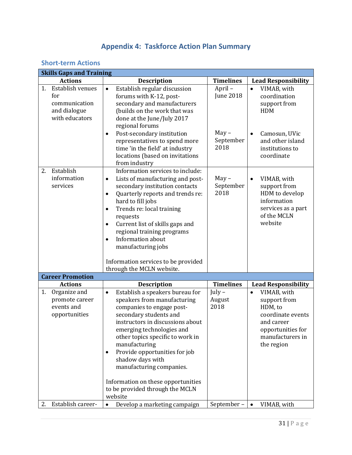# **Appendix 4: Taskforce Action Plan Summary**

## <span id="page-30-1"></span><span id="page-30-0"></span>**Short-term Actions**

| <b>Skills Gaps and Training</b> |                                                                            |                                                                                                                                                                                                                                                                                                                                                                                                                                                           |                                                            |                                                                                                                                                           |
|---------------------------------|----------------------------------------------------------------------------|-----------------------------------------------------------------------------------------------------------------------------------------------------------------------------------------------------------------------------------------------------------------------------------------------------------------------------------------------------------------------------------------------------------------------------------------------------------|------------------------------------------------------------|-----------------------------------------------------------------------------------------------------------------------------------------------------------|
|                                 | <b>Actions</b>                                                             | <b>Description</b>                                                                                                                                                                                                                                                                                                                                                                                                                                        | <b>Timelines</b>                                           | <b>Lead Responsibility</b>                                                                                                                                |
| 1.                              | Establish venues<br>for<br>communication<br>and dialogue<br>with educators | Establish regular discussion<br>$\bullet$<br>forums with K-12, post-<br>secondary and manufacturers<br>(builds on the work that was<br>done at the June/July 2017<br>regional forums<br>Post-secondary institution<br>$\bullet$<br>representatives to spend more<br>time 'in the field' at industry<br>locations (based on invitations<br>from industry                                                                                                   | April-<br><b>June 2018</b><br>$May -$<br>September<br>2018 | VIMAB, with<br>$\bullet$<br>coordination<br>support from<br><b>HDM</b><br>Camosun, UVic<br>$\bullet$<br>and other island<br>institutions to<br>coordinate |
| 2.                              | Establish<br>information<br>services                                       | Information services to include:<br>Lists of manufacturing and post-<br>$\bullet$<br>secondary institution contacts<br>Quarterly reports and trends re:<br>$\bullet$<br>hard to fill jobs<br>Trends re: local training<br>$\bullet$<br>requests<br>Current list of skills gaps and<br>$\bullet$<br>regional training programs<br>Information about<br>$\bullet$<br>manufacturing jobs<br>Information services to be provided<br>through the MCLN website. | $May -$<br>September<br>2018                               | VIMAB, with<br>$\bullet$<br>support from<br>HDM to develop<br>information<br>services as a part<br>of the MCLN<br>website                                 |
|                                 | <b>Career Promotion</b>                                                    |                                                                                                                                                                                                                                                                                                                                                                                                                                                           |                                                            |                                                                                                                                                           |
|                                 | <b>Actions</b>                                                             | <b>Description</b>                                                                                                                                                                                                                                                                                                                                                                                                                                        | <b>Timelines</b>                                           | <b>Lead Responsibility</b>                                                                                                                                |
| 1.                              | Organize and<br>promote career<br>events and<br>opportunities              | Establish a speakers bureau for<br>$\bullet$<br>speakers from manufacturing<br>companies to engage post-<br>secondary students and<br>instructors in discussions about<br>emerging technologies and<br>other topics specific to work in<br>manufacturing<br>Provide opportunities for job<br>shadow days with<br>manufacturing companies.<br>Information on these opportunities<br>to be provided through the MCLN<br>website                             | $July -$<br>August<br>2018                                 | VIMAB, with<br>$\bullet$<br>support from<br>HDM, to<br>coordinate events<br>and career<br>opportunities for<br>manufacturers in<br>the region             |
| 2.                              | Establish career-                                                          | Develop a marketing campaign<br>٠                                                                                                                                                                                                                                                                                                                                                                                                                         | September-                                                 | VIMAB, with<br>$\bullet$                                                                                                                                  |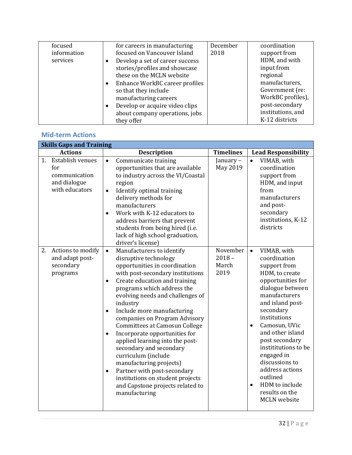| focused     | for careers in manufacturing    | December | coordination      |
|-------------|---------------------------------|----------|-------------------|
| information | focused on Vancouver Island     | 2018     | support from      |
| services    | Develop a set of career success |          | HDM, and with     |
|             | stories/profiles and showcase   |          | input from        |
|             | these on the MCLN website       |          | regional          |
|             | Enhance WorkBC career profiles  |          | manufacturers,    |
|             | so that they include            |          | Government (re:   |
|             | manufacturing careers           |          | WorkBC profiles), |
|             | Develop or acquire video clips  |          | post-secondary    |
|             | about company operations, jobs  |          | institutions, and |
|             | they offer                      |          | K-12 districts    |

#### <span id="page-31-0"></span>**Mid-term Actions**

| <b>Skills Gaps and Training</b>                                                  |                                                                                                                                                                                                                                                                                                                                                                                                                                                                                                                                                                                                                                                                                         |                                       |                                                                                                                                                                                                                                                                                                                                                                                                                          |
|----------------------------------------------------------------------------------|-----------------------------------------------------------------------------------------------------------------------------------------------------------------------------------------------------------------------------------------------------------------------------------------------------------------------------------------------------------------------------------------------------------------------------------------------------------------------------------------------------------------------------------------------------------------------------------------------------------------------------------------------------------------------------------------|---------------------------------------|--------------------------------------------------------------------------------------------------------------------------------------------------------------------------------------------------------------------------------------------------------------------------------------------------------------------------------------------------------------------------------------------------------------------------|
| <b>Actions</b>                                                                   | <b>Description</b>                                                                                                                                                                                                                                                                                                                                                                                                                                                                                                                                                                                                                                                                      | <b>Timelines</b>                      | <b>Lead Responsibility</b>                                                                                                                                                                                                                                                                                                                                                                                               |
| Establish venues<br>1.<br>for<br>communication<br>and dialogue<br>with educators | Communicate training<br>$\bullet$<br>opportunities that are available<br>to industry across the VI/Coastal<br>region<br>Identify optimal training<br>$\bullet$<br>delivery methods for<br>manufacturers<br>Work with K-12 educators to<br>address barriers that prevent<br>students from being hired (i.e.<br>lack of high school graduation,<br>driver's license)                                                                                                                                                                                                                                                                                                                      | January-<br>May 2019                  | VIMAB, with<br>$\bullet$<br>coordination<br>support from<br>HDM, and input<br>from<br>manufacturers<br>and post-<br>secondary<br>institutions, K-12<br>districts                                                                                                                                                                                                                                                         |
| Actions to modify<br>2.<br>and adapt post-<br>secondary<br>programs              | Manufacturers to identify<br>$\bullet$<br>disruptive technology<br>opportunities in coordination<br>with post-secondary institutions<br>Create education and training<br>$\bullet$<br>programs which address the<br>evolving needs and challenges of<br>industry<br>Include more manufacturing<br>$\bullet$<br>companies on Program Advisory<br><b>Committees at Camosun College</b><br>Incorporate opportunities for<br>$\bullet$<br>applied learning into the post-<br>secondary and secondary<br>curriculum (include<br>manufacturing projects)<br>Partner with post-secondary<br>$\bullet$<br>institutions on student projects<br>and Capstone projects related to<br>manufacturing | November<br>$2018 -$<br>March<br>2019 | VIMAB, with<br>$\bullet$<br>coordination<br>support from<br>HDM, to create<br>opportunities for<br>dialogue between<br>manufacturers<br>and island post-<br>secondary<br>institutions<br>Camosun, UVic<br>$\bullet$<br>and other island<br>post secondary<br>instititutions to be<br>engaged in<br>discussions to<br>address actions<br>outlined<br>HDM to include<br>$\bullet$<br>results on the<br><b>MCLN</b> website |